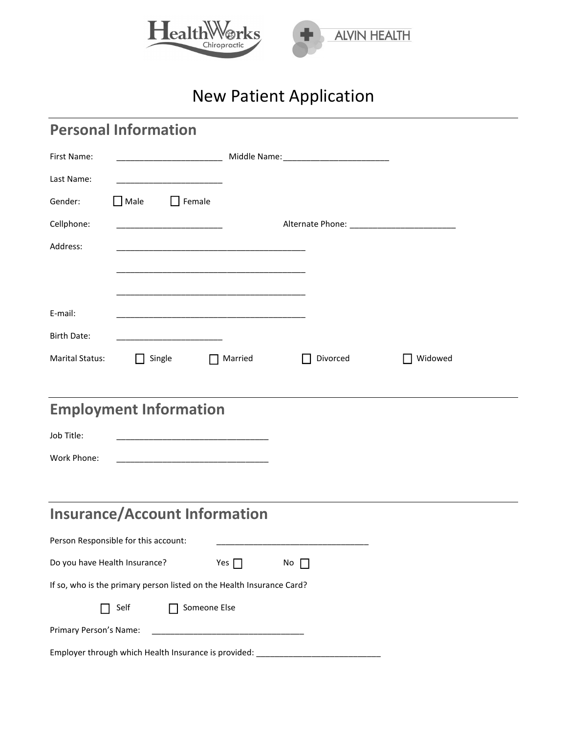

# New Patient Application

| <b>Personal Information</b>                                           |                |           |         |
|-----------------------------------------------------------------------|----------------|-----------|---------|
| First Name:                                                           |                |           |         |
| Last Name:                                                            |                |           |         |
| $\Box$ Male<br>$\Box$ Female<br>Gender:                               |                |           |         |
| Cellphone:                                                            |                |           |         |
| Address:                                                              |                |           |         |
|                                                                       |                |           |         |
|                                                                       |                |           |         |
| E-mail:                                                               |                |           |         |
| <b>Birth Date:</b>                                                    |                |           |         |
| <b>Marital Status:</b><br>Single                                      | $\Box$ Married | Divorced  | Widowed |
|                                                                       |                |           |         |
| <b>Employment Information</b>                                         |                |           |         |
| Job Title:                                                            |                |           |         |
| Work Phone:                                                           |                |           |         |
|                                                                       |                |           |         |
|                                                                       |                |           |         |
| <b>Insurance/Account Information</b>                                  |                |           |         |
| Person Responsible for this account:                                  |                |           |         |
| Do you have Health Insurance?                                         | Yes $\Box$     | No $\Box$ |         |
| If so, who is the primary person listed on the Health Insurance Card? |                |           |         |
| Self                                                                  | Someone Else   |           |         |
| Primary Person's Name:                                                |                |           |         |
| Employer through which Health Insurance is provided:                  |                |           |         |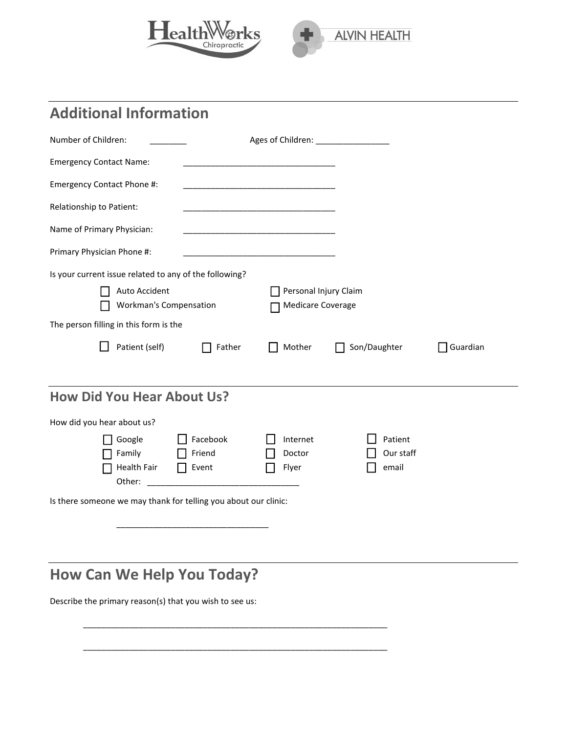



### **Additional Information**

| Number of Children:                                             | Ages of Children: Marian Marian Marian Maria        |                      |          |
|-----------------------------------------------------------------|-----------------------------------------------------|----------------------|----------|
| <b>Emergency Contact Name:</b>                                  |                                                     |                      |          |
| Emergency Contact Phone #:                                      |                                                     |                      |          |
| Relationship to Patient:                                        |                                                     |                      |          |
| Name of Primary Physician:                                      |                                                     |                      |          |
| Primary Physician Phone #:                                      | <u> 1980 - Johann Stone, mars eta biztanleria (</u> |                      |          |
| Is your current issue related to any of the following?          |                                                     |                      |          |
| Auto Accident<br>Workman's Compensation                         | Personal Injury Claim<br>Medicare Coverage          |                      |          |
| The person filling in this form is the                          |                                                     |                      |          |
| Patient (self)<br>Father                                        | Mother                                              | Son/Daughter         | Guardian |
| <b>How Did You Hear About Us?</b>                               |                                                     |                      |          |
| How did you hear about us?                                      |                                                     |                      |          |
| Facebook<br>Google<br>Family<br>Friend                          | Internet<br>Doctor                                  | Patient<br>Our staff |          |
| Health Fair<br>Event<br>$\perp$<br>Other:                       | Flyer                                               | email                |          |
| Is there someone we may thank for telling you about our clinic: |                                                     |                      |          |
|                                                                 |                                                     |                      |          |

### **How Can We Help You Today?**

Describe the primary reason(s) that you wish to see us:

\_\_\_\_\_\_\_\_\_\_\_\_\_\_\_\_\_\_\_\_\_\_\_\_\_\_\_\_\_\_\_\_\_\_\_\_\_\_\_\_\_\_\_\_\_\_\_\_\_\_\_\_\_\_\_\_\_\_\_\_\_\_\_\_\_\_

\_\_\_\_\_\_\_\_\_\_\_\_\_\_\_\_\_\_\_\_\_\_\_\_\_\_\_\_\_\_\_\_\_\_\_\_\_\_\_\_\_\_\_\_\_\_\_\_\_\_\_\_\_\_\_\_\_\_\_\_\_\_\_\_\_\_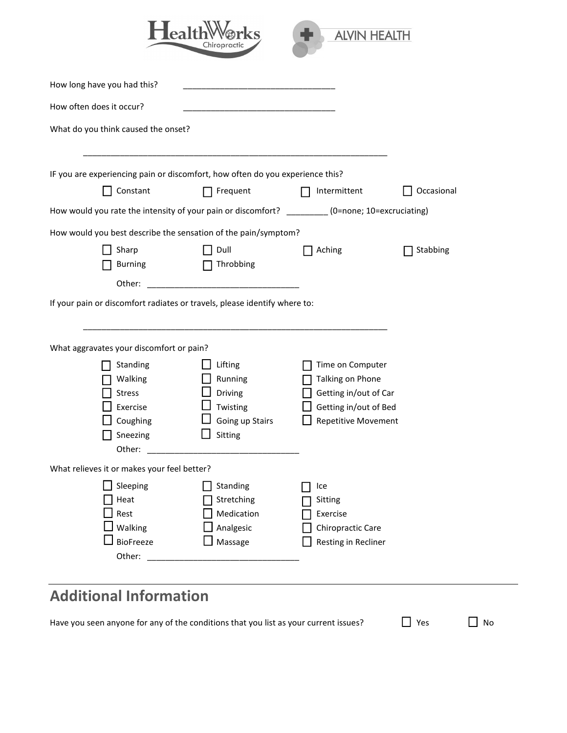

| How long have you had this?                                                                      |                 |                            |            |
|--------------------------------------------------------------------------------------------------|-----------------|----------------------------|------------|
| How often does it occur?                                                                         |                 |                            |            |
| What do you think caused the onset?                                                              |                 |                            |            |
| IF you are experiencing pain or discomfort, how often do you experience this?                    |                 |                            |            |
| Constant                                                                                         | Frequent        | Intermittent               | Occasional |
| How would you rate the intensity of your pain or discomfort? _________ (0=none; 10=excruciating) |                 |                            |            |
| How would you best describe the sensation of the pain/symptom?                                   |                 |                            |            |
| Sharp                                                                                            | Dull            | Aching                     | Stabbing   |
| Burning                                                                                          | Throbbing<br>П  |                            |            |
| Other:                                                                                           |                 |                            |            |
| If your pain or discomfort radiates or travels, please identify where to:                        |                 |                            |            |
|                                                                                                  |                 |                            |            |
|                                                                                                  |                 |                            |            |
| What aggravates your discomfort or pain?                                                         |                 |                            |            |
| Standing                                                                                         | Lifting         | Time on Computer           |            |
| Walking                                                                                          | Running         | Talking on Phone           |            |
| <b>Stress</b>                                                                                    | Driving         | Getting in/out of Car      |            |
| Exercise                                                                                         | Twisting        | Getting in/out of Bed      |            |
| Coughing                                                                                         | Going up Stairs | <b>Repetitive Movement</b> |            |
| Sneezing                                                                                         | Sitting         |                            |            |
| Other:                                                                                           |                 |                            |            |
| What relieves it or makes your feel better?                                                      |                 |                            |            |
| Sleeping                                                                                         | Standing        | Ice                        |            |
| Heat                                                                                             | Stretching      | Sitting                    |            |
| Rest                                                                                             | Medication      | Exercise                   |            |
| Walking                                                                                          | Analgesic       | Chiropractic Care          |            |
| <b>BioFreeze</b>                                                                                 | Massage         | Resting in Recliner        |            |
| Other:                                                                                           |                 |                            |            |
|                                                                                                  |                 |                            |            |

## **Additional Information**

Have you seen anyone for any of the conditions that you list as your current issues?  $\Box$  Yes  $\Box$  No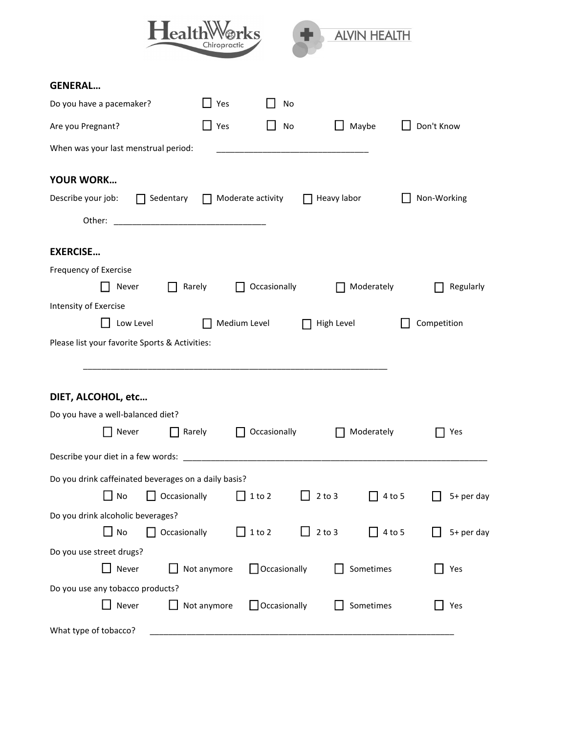| <b>l</b> ealth                                                                                                                                                                                                                                 | rkS<br>Chiropractic          |                     | <b>ALVIN HEALTH</b>         |             |
|------------------------------------------------------------------------------------------------------------------------------------------------------------------------------------------------------------------------------------------------|------------------------------|---------------------|-----------------------------|-------------|
| <b>GENERAL</b>                                                                                                                                                                                                                                 |                              |                     |                             |             |
| Do you have a pacemaker?                                                                                                                                                                                                                       | Yes                          | No                  |                             |             |
| Are you Pregnant?                                                                                                                                                                                                                              | $\Box$ Yes                   | No                  | Maybe                       | Don't Know  |
| When was your last menstrual period:                                                                                                                                                                                                           |                              |                     |                             |             |
| <b>YOUR WORK</b>                                                                                                                                                                                                                               |                              |                     |                             |             |
| Describe your job:<br>Sedentary                                                                                                                                                                                                                | Moderate activity<br>$\perp$ |                     | Heavy labor                 | Non-Working |
| Other:<br><u> 1989 - Johann Harry Harry Harry Harry Harry Harry Harry Harry Harry Harry Harry Harry Harry Harry Harry Harry Harry Harry Harry Harry Harry Harry Harry Harry Harry Harry Harry Harry Harry Harry Harry Harry Harry Harry Ha</u> |                              |                     |                             |             |
| <b>EXERCISE</b>                                                                                                                                                                                                                                |                              |                     |                             |             |
| Frequency of Exercise                                                                                                                                                                                                                          |                              |                     |                             |             |
| Never                                                                                                                                                                                                                                          | Rarely<br>$\perp$            | Occasionally        | Moderately                  | Regularly   |
| Intensity of Exercise                                                                                                                                                                                                                          |                              |                     |                             |             |
| Low Level                                                                                                                                                                                                                                      | Medium Level                 |                     | High Level                  | Competition |
| Please list your favorite Sports & Activities:                                                                                                                                                                                                 |                              |                     |                             |             |
|                                                                                                                                                                                                                                                |                              |                     |                             |             |
| DIET, ALCOHOL, etc                                                                                                                                                                                                                             |                              |                     |                             |             |
| Do you have a well-balanced diet?                                                                                                                                                                                                              |                              |                     |                             |             |
| Never<br>Rarely                                                                                                                                                                                                                                |                              | Occasionally        | Moderately                  | $\Box$ Yes  |
|                                                                                                                                                                                                                                                |                              |                     |                             |             |
| Do you drink caffeinated beverages on a daily basis?                                                                                                                                                                                           |                              |                     |                             |             |
| No<br>Occasionally                                                                                                                                                                                                                             | $\Box$ 1 to 2                |                     | $2$ to $3$<br>$4$ to 5      | 5+ per day  |
| Do you drink alcoholic beverages?                                                                                                                                                                                                              |                              |                     |                             |             |
| Occasionally<br>$\Box$ No                                                                                                                                                                                                                      | $\Box$ 1 to 2                | ⊔                   | $2$ to $3$<br>$\Box$ 4 to 5 | 5+ per day  |
| Do you use street drugs?                                                                                                                                                                                                                       |                              |                     |                             |             |
| Never                                                                                                                                                                                                                                          | Not anymore                  | $\Box$ Occasionally | Sometimes                   | Yes         |
| Do you use any tobacco products?                                                                                                                                                                                                               |                              |                     |                             |             |
| Never                                                                                                                                                                                                                                          | Not anymore                  | $\Box$ Occasionally | Sometimes                   | Yes         |
| What type of tobacco?                                                                                                                                                                                                                          |                              |                     |                             |             |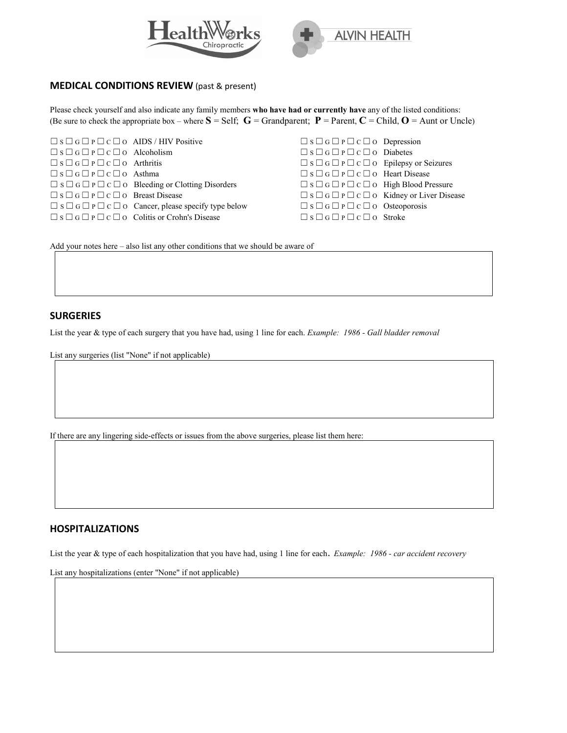



#### **MEDICAL CONDITIONS REVIEW** (past & present)

Please check yourself and also indicate any family members **who have had or currently have** any of the listed conditions: (Be sure to check the appropriate box – where  $S = \text{Self}$ ;  $G = \text{Grandparent}$ ;  $P = \text{Parent}, C = \text{Child}, O = \text{Aunt or Uncle}$ )

| $\square$ s $\square$ G $\square$ P $\square$ c $\square$ O AIDS / HIV Positive |                                                                                |
|---------------------------------------------------------------------------------|--------------------------------------------------------------------------------|
| $\Box$ S $\Box$ G $\Box$ P $\Box$ C $\Box$ O Alcoholism                         |                                                                                |
| $\square$ s $\square$ g $\square$ p $\square$ c $\square$ o Arthritis           |                                                                                |
| $\square$ s $\square$ G $\square$ P $\square$ c $\square$ o Asthma              |                                                                                |
|                                                                                 | $\Box$ s $\Box$ G $\Box$ P $\Box$ C $\Box$ O Bleeding or Clotting Disorders    |
| $\Box$ S $\Box$ G $\Box$ P $\Box$ C $\Box$ O Breast Disease                     |                                                                                |
|                                                                                 | $\Box$ s $\Box$ G $\Box$ P $\Box$ C $\Box$ O Cancer, please specify type below |
|                                                                                 | $\Box$ S $\Box$ G $\Box$ P $\Box$ C $\Box$ O Colitis or Crohn's Disease        |

 $\Box$  S  $\Box$  G  $\Box$  P  $\Box$  C  $\Box$  O Depression ☐ S ☐ G ☐ P ☐ C ☐ O Diabetes ☐ S ☐ G ☐ P ☐ C ☐ O Epilepsy or Seizures ☐ S ☐ G ☐ P ☐ C ☐ O Heart Disease ☐ S ☐ G ☐ P ☐ C ☐ O High Blood Pressure □ S □ G □ P □ C □ O Kidney or Liver Disease ☐ S ☐ G ☐ P ☐ C ☐ O Osteoporosis  $\square$  S  $\square$  G  $\square$  P  $\square$  C  $\square$  O Stroke

Add your notes here – also list any other conditions that we should be aware of

#### **SURGERIES**

List the year & type of each surgery that you have had, using 1 line for each. *Example: 1986 - Gall bladder removal*

List any surgeries (list "None" if not applicable)

If there are any lingering side-effects or issues from the above surgeries, please list them here:

#### **HOSPITALIZATIONS**

List the year & type of each hospitalization that you have had, using 1 line for each. *Example: 1986 - car accident recovery* 

List any hospitalizations (enter "None" if not applicable)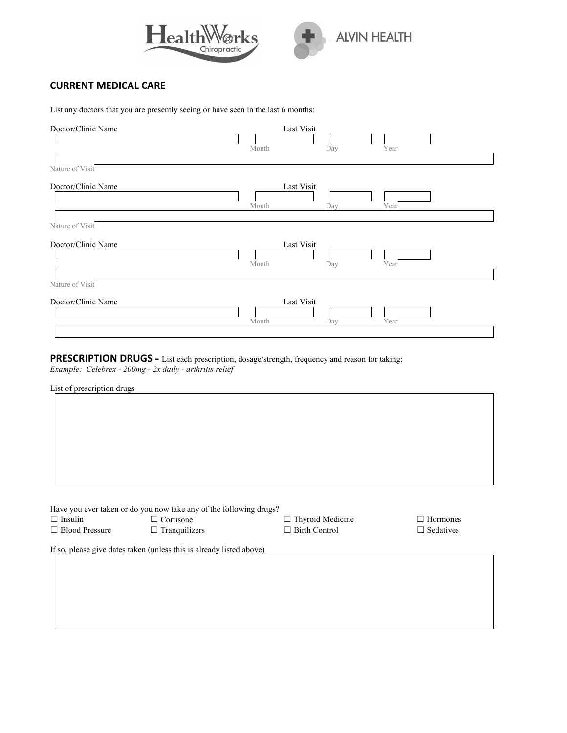



#### **CURRENT MEDICAL CARE**

List any doctors that you are presently seeing or have seen in the last 6 months:

| Last Visit<br>Year<br>Day |
|---------------------------|
|                           |
| Last Visit<br>Year<br>Day |
|                           |
| Last Visit<br>Year<br>Day |
|                           |
| Last Visit<br>Year<br>Day |
|                           |

**PRESCRIPTION DRUGS -** List each prescription, dosage/strength, frequency and reason for taking: *Example: Celebrex - 200mg - 2x daily - arthritis relief* 

List of prescription drugs

|                       | Have you ever taken or do you now take any of the following drugs?   |                         |                  |
|-----------------------|----------------------------------------------------------------------|-------------------------|------------------|
| $\Box$ Insulin        | $\Box$ Cortisone                                                     | $\Box$ Thyroid Medicine | $\Box$ Hormones  |
| $\Box$ Blood Pressure | $\Box$ Tranguilizers                                                 | $\Box$ Birth Control    | $\Box$ Sedatives |
|                       |                                                                      |                         |                  |
|                       | If so, please give dates taken (unless this is already listed above) |                         |                  |
|                       |                                                                      |                         |                  |